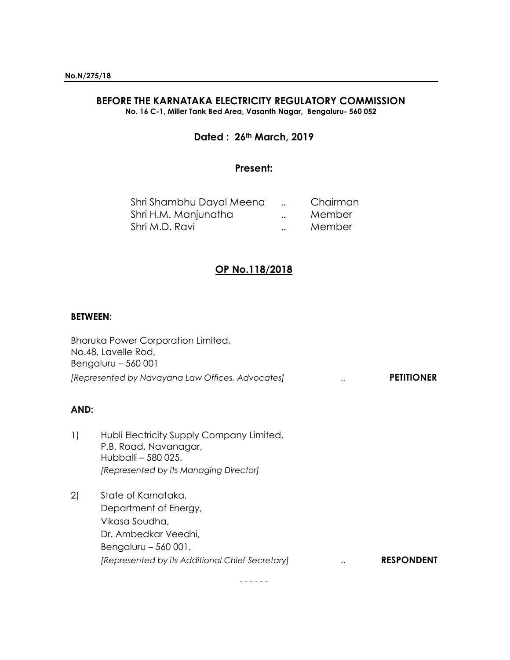# **BEFORE THE KARNATAKA ELECTRICITY REGULATORY COMMISSION**

**No. 16 C-1, Miller Tank Bed Area, Vasanth Nagar, Bengaluru- 560 052**

## **Dated : 26th March, 2019**

#### **Present:**

|                      | Chairman |
|----------------------|----------|
| $\ddot{\phantom{a}}$ | Member   |
| $\ddot{\phantom{a}}$ | Member   |
|                      |          |

# **OP No.118/2018**

#### **BETWEEN:**

| <b>Bhoruka Power Corporation Limited,</b>        |                       |
|--------------------------------------------------|-----------------------|
| No.48, Lavelle Rod,                              |                       |
| Bengaluru $-560001$                              |                       |
| [Represented by Navayana Law Offices, Advocates] | <br><b>PETITIONER</b> |

## **AND:**

- 1) Hubli Electricity Supply Company Limited, P.B. Road, Navanagar, Hubballi – 580 025. *[Represented by its Managing Director]*
- 2) State of Karnataka, Department of Energy, Vikasa Soudha, Dr. Ambedkar Veedhi, Bengaluru – 560 001. *[Represented by its Additional Chief Secretary]* .. **RESPONDENT**

- - - - - -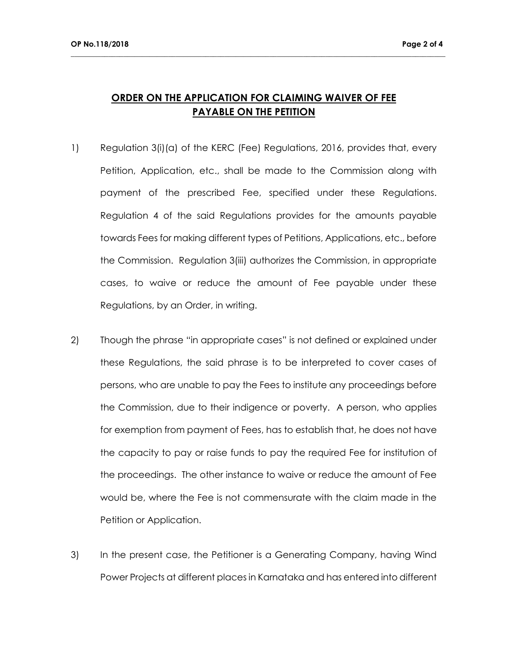# **ORDER ON THE APPLICATION FOR CLAIMING WAIVER OF FEE PAYABLE ON THE PETITION**

**\_\_\_\_\_\_\_\_\_\_\_\_\_\_\_\_\_\_\_\_\_\_\_\_\_\_\_\_\_\_\_\_\_\_\_\_\_\_\_\_\_\_\_\_\_\_\_\_\_\_\_\_\_\_\_\_\_\_\_\_\_\_\_\_\_\_\_\_\_\_\_\_\_\_\_\_\_\_\_\_\_\_\_\_\_\_\_\_\_\_\_\_\_\_\_\_\_\_\_\_**

- 1) Regulation 3(i)(a) of the KERC (Fee) Regulations, 2016, provides that, every Petition, Application, etc., shall be made to the Commission along with payment of the prescribed Fee, specified under these Regulations. Regulation 4 of the said Regulations provides for the amounts payable towards Fees for making different types of Petitions, Applications, etc., before the Commission. Regulation 3(iii) authorizes the Commission, in appropriate cases, to waive or reduce the amount of Fee payable under these Regulations, by an Order, in writing.
- 2) Though the phrase "in appropriate cases" is not defined or explained under these Regulations, the said phrase is to be interpreted to cover cases of persons, who are unable to pay the Fees to institute any proceedings before the Commission, due to their indigence or poverty. A person, who applies for exemption from payment of Fees, has to establish that, he does not have the capacity to pay or raise funds to pay the required Fee for institution of the proceedings. The other instance to waive or reduce the amount of Fee would be, where the Fee is not commensurate with the claim made in the Petition or Application.
- 3) In the present case, the Petitioner is a Generating Company, having Wind Power Projects at different places in Karnataka and has entered into different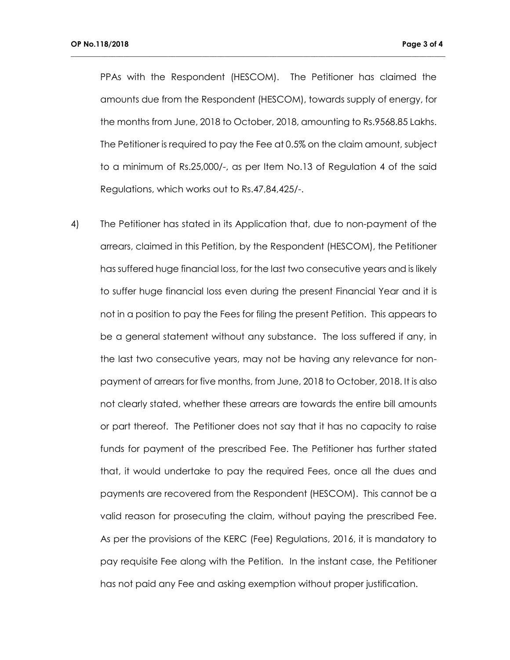PPAs with the Respondent (HESCOM). The Petitioner has claimed the amounts due from the Respondent (HESCOM), towards supply of energy, for the months from June, 2018 to October, 2018, amounting to Rs.9568.85 Lakhs. The Petitioner is required to pay the Fee at 0.5% on the claim amount, subject to a minimum of Rs.25,000/-, as per Item No.13 of Regulation 4 of the said Regulations, which works out to Rs.47,84,425/-.

**\_\_\_\_\_\_\_\_\_\_\_\_\_\_\_\_\_\_\_\_\_\_\_\_\_\_\_\_\_\_\_\_\_\_\_\_\_\_\_\_\_\_\_\_\_\_\_\_\_\_\_\_\_\_\_\_\_\_\_\_\_\_\_\_\_\_\_\_\_\_\_\_\_\_\_\_\_\_\_\_\_\_\_\_\_\_\_\_\_\_\_\_\_\_\_\_\_\_\_\_**

4) The Petitioner has stated in its Application that, due to non-payment of the arrears, claimed in this Petition, by the Respondent (HESCOM), the Petitioner has suffered huge financial loss, for the last two consecutive years and is likely to suffer huge financial loss even during the present Financial Year and it is not in a position to pay the Fees for filing the present Petition. This appears to be a general statement without any substance. The loss suffered if any, in the last two consecutive years, may not be having any relevance for nonpayment of arrears for five months, from June, 2018 to October, 2018. It is also not clearly stated, whether these arrears are towards the entire bill amounts or part thereof. The Petitioner does not say that it has no capacity to raise funds for payment of the prescribed Fee. The Petitioner has further stated that, it would undertake to pay the required Fees, once all the dues and payments are recovered from the Respondent (HESCOM). This cannot be a valid reason for prosecuting the claim, without paying the prescribed Fee. As per the provisions of the KERC (Fee) Regulations, 2016, it is mandatory to pay requisite Fee along with the Petition. In the instant case, the Petitioner has not paid any Fee and asking exemption without proper justification.